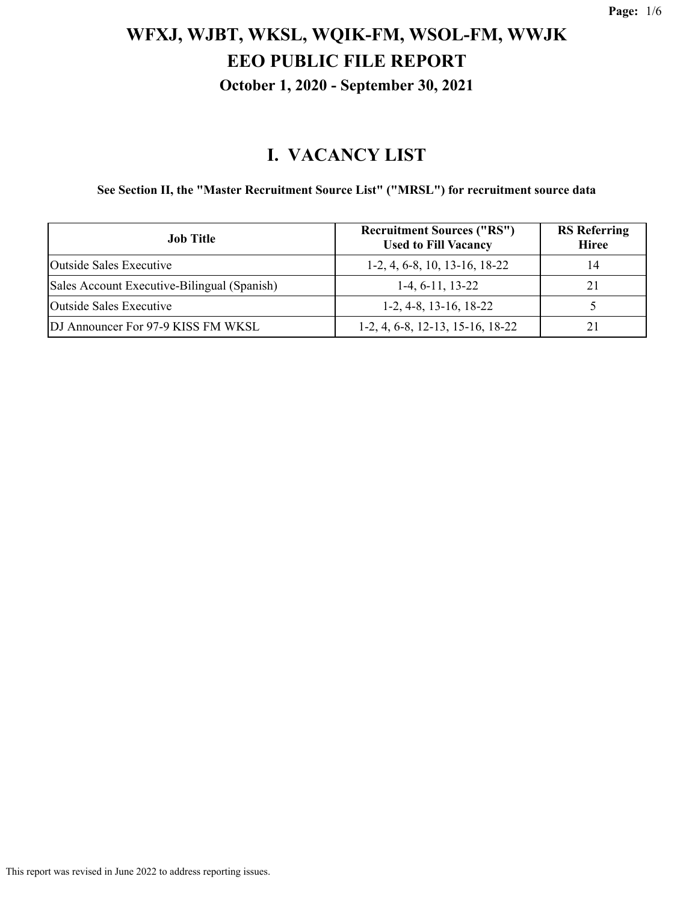#### **I. VACANCY LIST**

**See Section II, the "Master Recruitment Source List" ("MRSL") for recruitment source data**

| <b>Job Title</b>                            | <b>Recruitment Sources ("RS")</b><br><b>Used to Fill Vacancy</b> | <b>RS</b> Referring<br><b>Hiree</b> |
|---------------------------------------------|------------------------------------------------------------------|-------------------------------------|
| Outside Sales Executive                     | $1-2, 4, 6-8, 10, 13-16, 18-22$                                  | 14                                  |
| Sales Account Executive-Bilingual (Spanish) | $1-4, 6-11, 13-22$                                               | 21                                  |
| Outside Sales Executive                     | $1-2, 4-8, 13-16, 18-22$                                         |                                     |
| DJ Announcer For 97-9 KISS FM WKSL          | $1-2, 4, 6-8, 12-13, 15-16, 18-22$                               |                                     |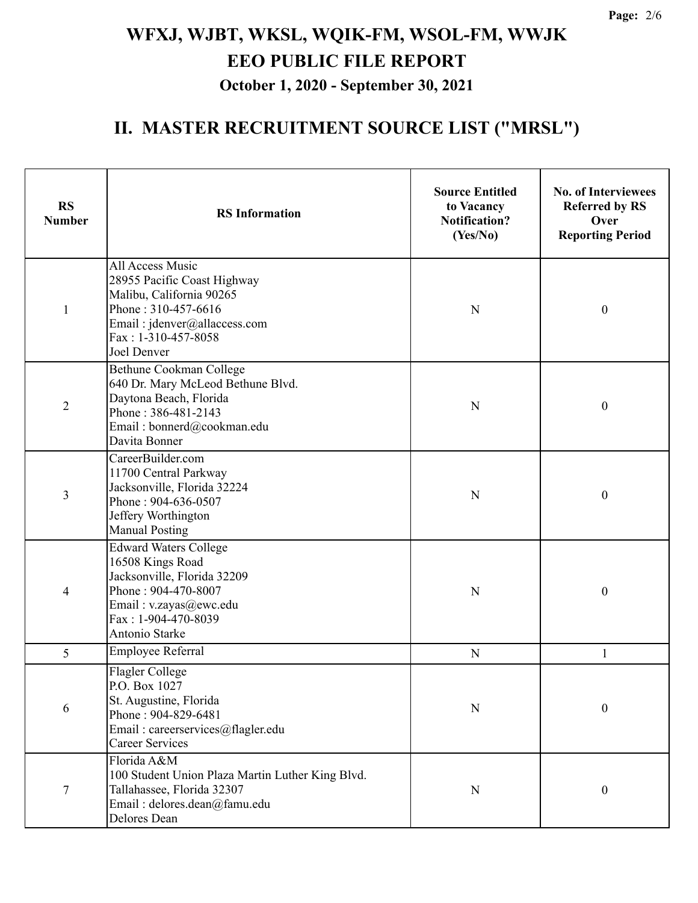| <b>RS</b><br><b>Number</b> | <b>RS</b> Information                                                                                                                                                     | <b>Source Entitled</b><br>to Vacancy<br><b>Notification?</b><br>(Yes/No) | <b>No. of Interviewees</b><br><b>Referred by RS</b><br>Over<br><b>Reporting Period</b> |
|----------------------------|---------------------------------------------------------------------------------------------------------------------------------------------------------------------------|--------------------------------------------------------------------------|----------------------------------------------------------------------------------------|
| $\mathbf{1}$               | All Access Music<br>28955 Pacific Coast Highway<br>Malibu, California 90265<br>Phone: 310-457-6616<br>Email: jdenver@allaccess.com<br>Fax: 1-310-457-8058<br>Joel Denver  | N                                                                        | $\boldsymbol{0}$                                                                       |
| $\overline{2}$             | Bethune Cookman College<br>640 Dr. Mary McLeod Bethune Blvd.<br>Daytona Beach, Florida<br>Phone: 386-481-2143<br>Email: bonnerd@cookman.edu<br>Davita Bonner              | N                                                                        | $\boldsymbol{0}$                                                                       |
| 3                          | CareerBuilder.com<br>11700 Central Parkway<br>Jacksonville, Florida 32224<br>Phone: 904-636-0507<br>Jeffery Worthington<br><b>Manual Posting</b>                          | N                                                                        | $\boldsymbol{0}$                                                                       |
| 4                          | <b>Edward Waters College</b><br>16508 Kings Road<br>Jacksonville, Florida 32209<br>Phone: 904-470-8007<br>Email: v.zayas@ewc.edu<br>Fax: 1-904-470-8039<br>Antonio Starke | N                                                                        | $\boldsymbol{0}$                                                                       |
| 5                          | <b>Employee Referral</b>                                                                                                                                                  | N                                                                        | 1                                                                                      |
| 6                          | Flagler College<br>P.O. Box 1027<br>St. Augustine, Florida<br>Phone: 904-829-6481<br>Email: careerservices@flagler.edu<br>Career Services                                 | N                                                                        | $\boldsymbol{0}$                                                                       |
| 7                          | Florida A&M<br>100 Student Union Plaza Martin Luther King Blvd.<br>Tallahassee, Florida 32307<br>Email: delores.dean@famu.edu<br>Delores Dean                             | N                                                                        | $\boldsymbol{0}$                                                                       |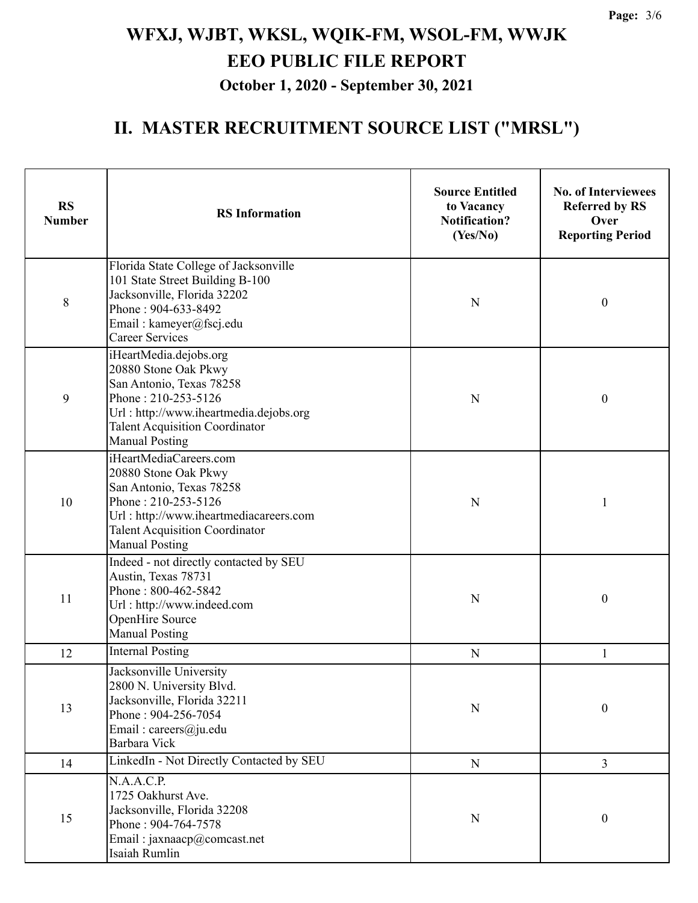| <b>RS</b><br><b>Number</b> | <b>RS</b> Information                                                                                                                                                                                         | <b>Source Entitled</b><br>to Vacancy<br><b>Notification?</b><br>(Yes/No) | <b>No. of Interviewees</b><br><b>Referred by RS</b><br>Over<br><b>Reporting Period</b> |
|----------------------------|---------------------------------------------------------------------------------------------------------------------------------------------------------------------------------------------------------------|--------------------------------------------------------------------------|----------------------------------------------------------------------------------------|
| $\,8\,$                    | Florida State College of Jacksonville<br>101 State Street Building B-100<br>Jacksonville, Florida 32202<br>Phone: 904-633-8492<br>Email: kameyer@fscj.edu<br><b>Career Services</b>                           | N                                                                        | $\boldsymbol{0}$                                                                       |
| 9                          | iHeartMedia.dejobs.org<br>20880 Stone Oak Pkwy<br>San Antonio, Texas 78258<br>Phone: 210-253-5126<br>Url: http://www.iheartmedia.dejobs.org<br><b>Talent Acquisition Coordinator</b><br><b>Manual Posting</b> | N                                                                        | $\boldsymbol{0}$                                                                       |
| 10                         | iHeartMediaCareers.com<br>20880 Stone Oak Pkwy<br>San Antonio, Texas 78258<br>Phone: 210-253-5126<br>Url: http://www.iheartmediacareers.com<br><b>Talent Acquisition Coordinator</b><br><b>Manual Posting</b> | N                                                                        | 1                                                                                      |
| 11                         | Indeed - not directly contacted by SEU<br>Austin, Texas 78731<br>Phone: 800-462-5842<br>Url: http://www.indeed.com<br>OpenHire Source<br><b>Manual Posting</b>                                                | N                                                                        | $\boldsymbol{0}$                                                                       |
| 12                         | <b>Internal Posting</b>                                                                                                                                                                                       | $\mathbf N$                                                              | 1                                                                                      |
| 13                         | Jacksonville University<br>2800 N. University Blvd.<br>Jacksonville, Florida 32211<br>Phone: 904-256-7054<br>Email: careers@ju.edu<br>Barbara Vick                                                            | ${\bf N}$                                                                | $\boldsymbol{0}$                                                                       |
| 14                         | LinkedIn - Not Directly Contacted by SEU                                                                                                                                                                      | ${\bf N}$                                                                | $\overline{3}$                                                                         |
| 15                         | N.A.A.C.P.<br>1725 Oakhurst Ave.<br>Jacksonville, Florida 32208<br>Phone: 904-764-7578<br>Email: jaxnaacp@comcast.net<br>Isaiah Rumlin                                                                        | ${\bf N}$                                                                | $\boldsymbol{0}$                                                                       |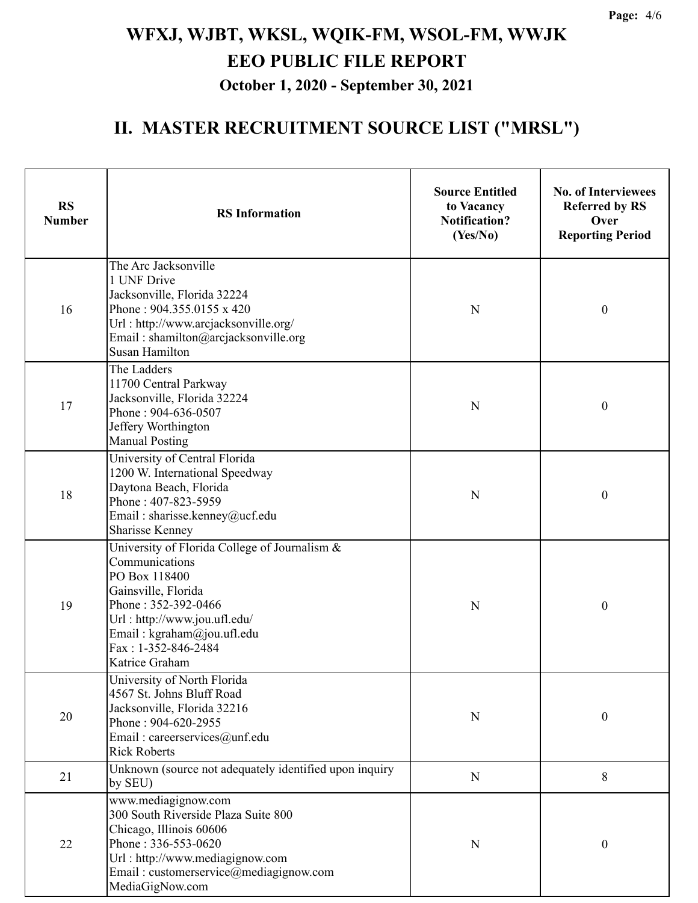| <b>RS</b><br><b>Number</b> | <b>RS</b> Information                                                                                                                                                                                                                 | <b>Source Entitled</b><br>to Vacancy<br><b>Notification?</b><br>(Yes/No) | <b>No. of Interviewees</b><br><b>Referred by RS</b><br>Over<br><b>Reporting Period</b> |
|----------------------------|---------------------------------------------------------------------------------------------------------------------------------------------------------------------------------------------------------------------------------------|--------------------------------------------------------------------------|----------------------------------------------------------------------------------------|
| 16                         | The Arc Jacksonville<br>1 UNF Drive<br>Jacksonville, Florida 32224<br>Phone: 904.355.0155 x 420<br>Url: http://www.arcjacksonville.org/<br>Email: shamilton@arcjacksonville.org<br><b>Susan Hamilton</b>                              | ${\bf N}$                                                                | $\boldsymbol{0}$                                                                       |
| 17                         | The Ladders<br>11700 Central Parkway<br>Jacksonville, Florida 32224<br>Phone: 904-636-0507<br>Jeffery Worthington<br><b>Manual Posting</b>                                                                                            | $\mathbf N$                                                              | $\boldsymbol{0}$                                                                       |
| 18                         | University of Central Florida<br>1200 W. International Speedway<br>Daytona Beach, Florida<br>Phone: 407-823-5959<br>Email: sharisse.kenney@ucf.edu<br>Sharisse Kenney                                                                 | N                                                                        | $\boldsymbol{0}$                                                                       |
| 19                         | University of Florida College of Journalism &<br>Communications<br>PO Box 118400<br>Gainsville, Florida<br>Phone: 352-392-0466<br>Url: http://www.jou.ufl.edu/<br>Email: kgraham@jou.ufl.edu<br>Fax: 1-352-846-2484<br>Katrice Graham | N                                                                        | $\boldsymbol{0}$                                                                       |
| $20\,$                     | University of North Florida<br>4567 St. Johns Bluff Road<br>Jacksonville, Florida 32216<br>Phone: 904-620-2955<br>Email: careerservices@unf.edu<br><b>Rick Roberts</b>                                                                | ${\bf N}$                                                                | $\boldsymbol{0}$                                                                       |
| 21                         | Unknown (source not adequately identified upon inquiry<br>by SEU)                                                                                                                                                                     | ${\bf N}$                                                                | 8                                                                                      |
| 22                         | www.mediagignow.com<br>300 South Riverside Plaza Suite 800<br>Chicago, Illinois 60606<br>Phone: 336-553-0620<br>Url: http://www.mediagignow.com<br>Email: customerservice@mediagignow.com<br>MediaGigNow.com                          | ${\bf N}$                                                                | $\boldsymbol{0}$                                                                       |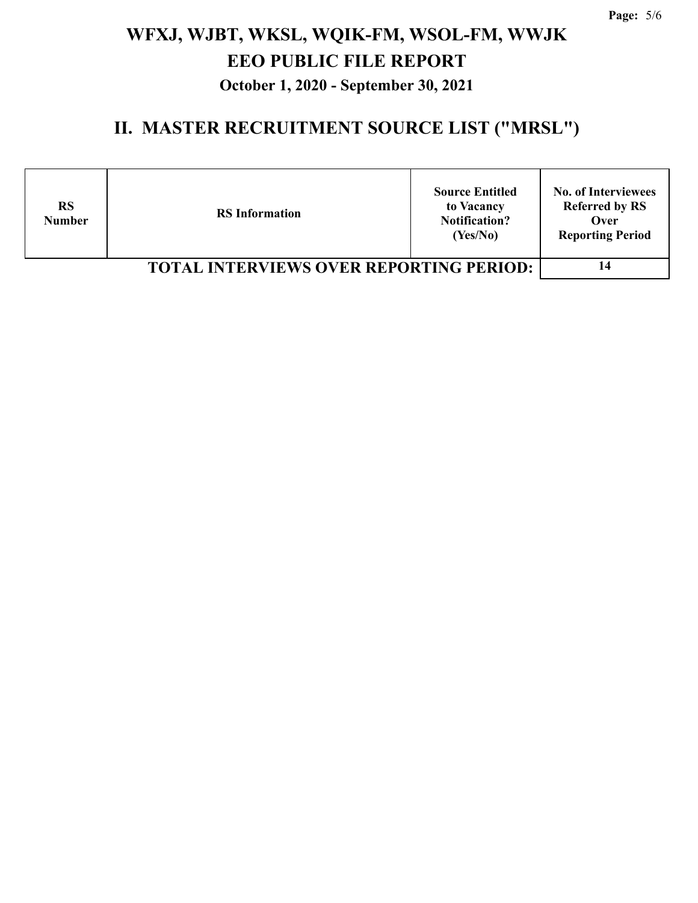| <b>RS</b><br><b>Number</b>                     | <b>RS</b> Information | <b>Source Entitled</b><br>to Vacancy<br><b>Notification?</b><br>(Yes/No) | <b>No. of Interviewees</b><br><b>Referred by RS</b><br>Over<br><b>Reporting Period</b> |
|------------------------------------------------|-----------------------|--------------------------------------------------------------------------|----------------------------------------------------------------------------------------|
| <b>TOTAL INTERVIEWS OVER REPORTING PERIOD:</b> |                       |                                                                          |                                                                                        |